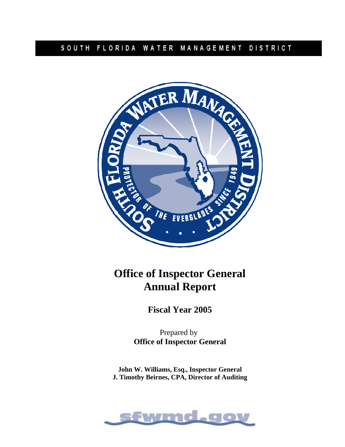# SOUTH FLORIDA WATER MANAGEMENT DISTRICT



# **Office of Inspector General Annual Report**

**Fiscal Year 2005** 

Prepared by **Office of Inspector General** 

**John W. Williams, Esq., Inspector General J. Timothy Beirnes, CPA, Director of Auditing**

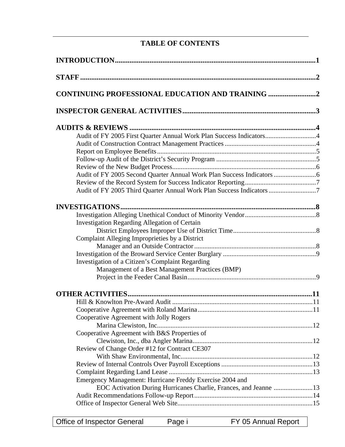# **TABLE OF CONTENTS**

| <b>CONTINUING PROFESSIONAL EDUCATION AND TRAINING 2</b>              |  |
|----------------------------------------------------------------------|--|
|                                                                      |  |
|                                                                      |  |
| Audit of FY 2005 First Quarter Annual Work Plan Success Indicators4  |  |
|                                                                      |  |
|                                                                      |  |
|                                                                      |  |
|                                                                      |  |
|                                                                      |  |
|                                                                      |  |
| Audit of FY 2005 Third Quarter Annual Work Plan Success Indicators 7 |  |
| <b>INVESTIGATIONS</b>                                                |  |
|                                                                      |  |
| <b>Investigation Regarding Allegation of Certain</b>                 |  |
|                                                                      |  |
| Complaint Alleging Improprieties by a District                       |  |
|                                                                      |  |
|                                                                      |  |
| Investigation of a Citizen's Complaint Regarding                     |  |
| Management of a Best Management Practices (BMP)                      |  |
|                                                                      |  |
|                                                                      |  |
|                                                                      |  |
|                                                                      |  |
|                                                                      |  |
| Cooperative Agreement with Jolly Rogers                              |  |
|                                                                      |  |
| Cooperative Agreement with B&S Properties of                         |  |
|                                                                      |  |
| Review of Change Order #12 for Contract CE307                        |  |
|                                                                      |  |
|                                                                      |  |
|                                                                      |  |
| Emergency Management: Hurricane Freddy Exercise 2004 and             |  |
| EOC Activation During Hurricanes Charlie, Frances, and Jeanne 13     |  |
|                                                                      |  |
|                                                                      |  |
|                                                                      |  |

Office of Inspector General Page i FY 05 Annual Report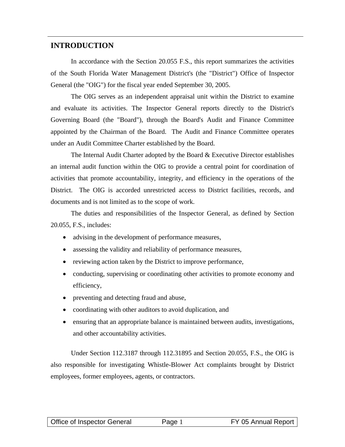# **INTRODUCTION**

In accordance with the Section 20.055 F.S., this report summarizes the activities of the South Florida Water Management District's (the "District") Office of Inspector General (the "OIG") for the fiscal year ended September 30, 2005.

The OIG serves as an independent appraisal unit within the District to examine and evaluate its activities. The Inspector General reports directly to the District's Governing Board (the "Board"), through the Board's Audit and Finance Committee appointed by the Chairman of the Board. The Audit and Finance Committee operates under an Audit Committee Charter established by the Board.

The Internal Audit Charter adopted by the Board & Executive Director establishes an internal audit function within the OIG to provide a central point for coordination of activities that promote accountability, integrity, and efficiency in the operations of the District. The OIG is accorded unrestricted access to District facilities, records, and documents and is not limited as to the scope of work.

The duties and responsibilities of the Inspector General, as defined by Section 20.055, F.S., includes:

- advising in the development of performance measures,
- assessing the validity and reliability of performance measures,
- reviewing action taken by the District to improve performance,
- conducting, supervising or coordinating other activities to promote economy and efficiency,
- preventing and detecting fraud and abuse,
- coordinating with other auditors to avoid duplication, and
- ensuring that an appropriate balance is maintained between audits, investigations, and other accountability activities.

Under Section 112.3187 through 112.31895 and Section 20.055, F.S., the OIG is also responsible for investigating Whistle-Blower Act complaints brought by District employees, former employees, agents, or contractors.

| Office of Inspector General | Page 1 | FY 05 Annual Report |
|-----------------------------|--------|---------------------|
|-----------------------------|--------|---------------------|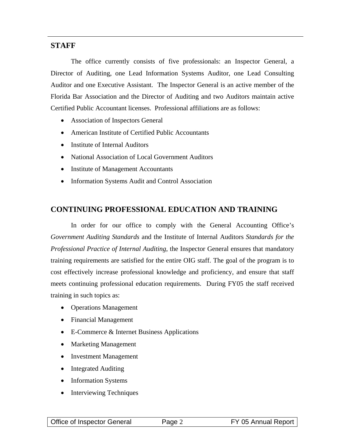# **STAFF**

The office currently consists of five professionals: an Inspector General, a Director of Auditing, one Lead Information Systems Auditor, one Lead Consulting Auditor and one Executive Assistant. The Inspector General is an active member of the Florida Bar Association and the Director of Auditing and two Auditors maintain active Certified Public Accountant licenses. Professional affiliations are as follows:

- Association of Inspectors General
- American Institute of Certified Public Accountants
- Institute of Internal Auditors
- National Association of Local Government Auditors
- Institute of Management Accountants
- Information Systems Audit and Control Association

# **CONTINUING PROFESSIONAL EDUCATION AND TRAINING**

In order for our office to comply with the General Accounting Office's *Government Auditing Standards* and the Institute of Internal Auditors *Standards for the Professional Practice of Internal Auditing*, the Inspector General ensures that mandatory training requirements are satisfied for the entire OIG staff. The goal of the program is to cost effectively increase professional knowledge and proficiency, and ensure that staff meets continuing professional education requirements. During FY05 the staff received training in such topics as:

- Operations Management
- Financial Management
- E-Commerce & Internet Business Applications
- Marketing Management
- Investment Management
- Integrated Auditing
- Information Systems
- Interviewing Techniques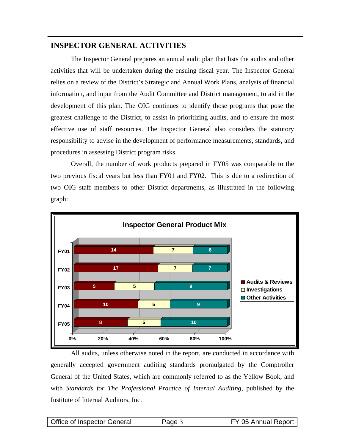# **INSPECTOR GENERAL ACTIVITIES**

The Inspector General prepares an annual audit plan that lists the audits and other activities that will be undertaken during the ensuing fiscal year. The Inspector General relies on a review of the District's Strategic and Annual Work Plans, analysis of financial information, and input from the Audit Committee and District management, to aid in the development of this plan. The OIG continues to identify those programs that pose the greatest challenge to the District, to assist in prioritizing audits, and to ensure the most effective use of staff resources. The Inspector General also considers the statutory responsibility to advise in the development of performance measurements, standards, and procedures in assessing District program risks.

Overall, the number of work products prepared in FY05 was comparable to the two previous fiscal years but less than FY01 and FY02. This is due to a redirection of two OIG staff members to other District departments, as illustrated in the following graph:



All audits, unless otherwise noted in the report, are conducted in accordance with generally accepted government auditing standards promulgated by the Comptroller General of the United States, which are commonly referred to as the Yellow Book, and with *Standards for The Professional Practice of Internal Auditing*, published by the Institute of Internal Auditors, Inc.

| <b>Office of Inspector General</b> | Page 3 | FY 05 Annual Report |
|------------------------------------|--------|---------------------|
|                                    |        |                     |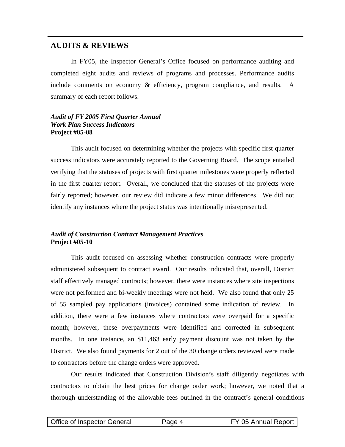# **AUDITS & REVIEWS**

In FY05, the Inspector General's Office focused on performance auditing and completed eight audits and reviews of programs and processes. Performance audits include comments on economy & efficiency, program compliance, and results. A summary of each report follows:

#### *Audit of FY 2005 First Quarter Annual Work Plan Success Indicators* **Project #05-08**

This audit focused on determining whether the projects with specific first quarter success indicators were accurately reported to the Governing Board. The scope entailed verifying that the statuses of projects with first quarter milestones were properly reflected in the first quarter report. Overall, we concluded that the statuses of the projects were fairly reported; however, our review did indicate a few minor differences. We did not identify any instances where the project status was intentionally misrepresented.

#### *Audit of Construction Contract Management Practices* **Project #05-10**

This audit focused on assessing whether construction contracts were properly administered subsequent to contract award. Our results indicated that, overall, District staff effectively managed contracts; however, there were instances where site inspections were not performed and bi-weekly meetings were not held. We also found that only 25 of 55 sampled pay applications (invoices) contained some indication of review. In addition, there were a few instances where contractors were overpaid for a specific month; however, these overpayments were identified and corrected in subsequent months. In one instance, an \$11,463 early payment discount was not taken by the District. We also found payments for 2 out of the 30 change orders reviewed were made to contractors before the change orders were approved.

Our results indicated that Construction Division's staff diligently negotiates with contractors to obtain the best prices for change order work; however, we noted that a thorough understanding of the allowable fees outlined in the contract's general conditions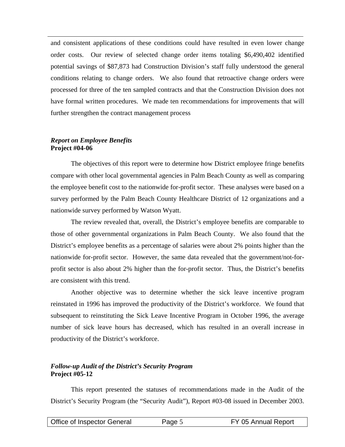and consistent applications of these conditions could have resulted in even lower change order costs. Our review of selected change order items totaling \$6,490,402 identified potential savings of \$87,873 had Construction Division's staff fully understood the general conditions relating to change orders. We also found that retroactive change orders were processed for three of the ten sampled contracts and that the Construction Division does not have formal written procedures. We made ten recommendations for improvements that will further strengthen the contract management process

#### *Report on Employee Benefits*  **Project #04-06**

The objectives of this report were to determine how District employee fringe benefits compare with other local governmental agencies in Palm Beach County as well as comparing the employee benefit cost to the nationwide for-profit sector. These analyses were based on a survey performed by the Palm Beach County Healthcare District of 12 organizations and a nationwide survey performed by Watson Wyatt.

The review revealed that, overall, the District's employee benefits are comparable to those of other governmental organizations in Palm Beach County. We also found that the District's employee benefits as a percentage of salaries were about 2% points higher than the nationwide for-profit sector. However, the same data revealed that the government/not-forprofit sector is also about 2% higher than the for-profit sector. Thus, the District's benefits are consistent with this trend.

Another objective was to determine whether the sick leave incentive program reinstated in 1996 has improved the productivity of the District's workforce. We found that subsequent to reinstituting the Sick Leave Incentive Program in October 1996, the average number of sick leave hours has decreased, which has resulted in an overall increase in productivity of the District's workforce.

#### *Follow-up Audit of the District's Security Program*  **Project #05-12**

This report presented the statuses of recommendations made in the Audit of the District's Security Program (the "Security Audit"), Report #03-08 issued in December 2003.

| Office of Inspector General | Page 5 | FY 05 Annual Report |
|-----------------------------|--------|---------------------|
|                             |        |                     |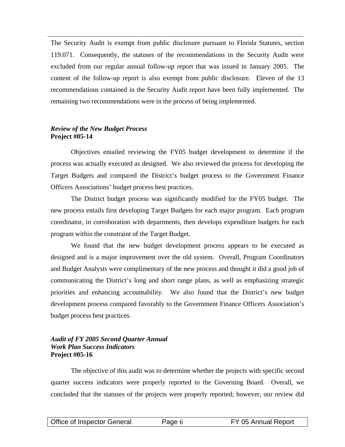The Security Audit is exempt from public disclosure pursuant to Florida Statutes, section 119.071. Consequently, the statuses of the recommendations in the Security Audit were excluded from our regular annual follow-up report that was issued in January 2005. The content of the follow-up report is also exempt from public disclosure. Eleven of the 13 recommendations contained in the Security Audit report have been fully implemented. The remaining two recommendations were in the process of being implemented.

#### *Review of the New Budget Process*  **Project #05-14**

Objectives entailed reviewing the FY05 budget development to determine if the process was actually executed as designed. We also reviewed the process for developing the Target Budgets and compared the District's budget process to the Government Finance Officers Associations' budget process best practices.

The District budget process was significantly modified for the FY05 budget. The new process entails first developing Target Budgets for each major program. Each program coordinator, in corroboration with departments, then develops expenditure budgets for each program within the constraint of the Target Budget.

We found that the new budget development process appears to be executed as designed and is a major improvement over the old system. Overall, Program Coordinators and Budget Analysts were complimentary of the new process and thought it did a good job of communicating the District's long and short range plans, as well as emphasizing strategic priorities and enhancing accountability. We also found that the District's new budget development process compared favorably to the Government Finance Officers Association's budget process best practices.

#### *Audit of FY 2005 Second Quarter Annual Work Plan Success Indicators* **Project #05-16**

The objective of this audit was to determine whether the projects with specific second quarter success indicators were properly reported to the Governing Board. Overall, we concluded that the statuses of the projects were properly reported; however, our review did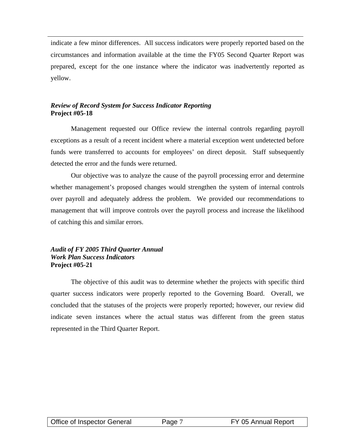indicate a few minor differences. All success indicators were properly reported based on the circumstances and information available at the time the FY05 Second Quarter Report was prepared, except for the one instance where the indicator was inadvertently reported as yellow.

# *Review of Record System for Success Indicator Reporting* **Project #05-18**

Management requested our Office review the internal controls regarding payroll exceptions as a result of a recent incident where a material exception went undetected before funds were transferred to accounts for employees' on direct deposit. Staff subsequently detected the error and the funds were returned.

Our objective was to analyze the cause of the payroll processing error and determine whether management's proposed changes would strengthen the system of internal controls over payroll and adequately address the problem. We provided our recommendations to management that will improve controls over the payroll process and increase the likelihood of catching this and similar errors.

#### *Audit of FY 2005 Third Quarter Annual Work Plan Success Indicators*  **Project #05-21**

The objective of this audit was to determine whether the projects with specific third quarter success indicators were properly reported to the Governing Board. Overall, we concluded that the statuses of the projects were properly reported; however, our review did indicate seven instances where the actual status was different from the green status represented in the Third Quarter Report.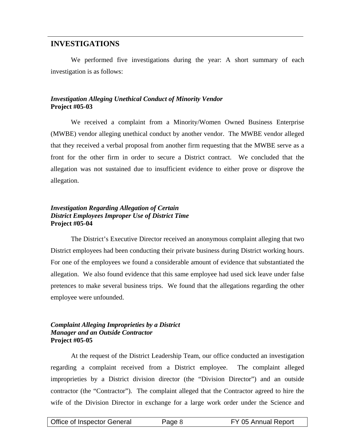# **INVESTIGATIONS**

We performed five investigations during the year: A short summary of each investigation is as follows:

#### *Investigation Alleging Unethical Conduct of Minority Vendor*  **Project #05-03**

We received a complaint from a Minority/Women Owned Business Enterprise (MWBE) vendor alleging unethical conduct by another vendor. The MWBE vendor alleged that they received a verbal proposal from another firm requesting that the MWBE serve as a front for the other firm in order to secure a District contract. We concluded that the allegation was not sustained due to insufficient evidence to either prove or disprove the allegation.

#### *Investigation Regarding Allegation of Certain District Employees Improper Use of District Time*  **Project #05-04**

The District's Executive Director received an anonymous complaint alleging that two District employees had been conducting their private business during District working hours. For one of the employees we found a considerable amount of evidence that substantiated the allegation. We also found evidence that this same employee had used sick leave under false pretences to make several business trips. We found that the allegations regarding the other employee were unfounded.

#### *Complaint Alleging Improprieties by a District Manager and an Outside Contractor*  **Project #05-05**

At the request of the District Leadership Team, our office conducted an investigation regarding a complaint received from a District employee. The complaint alleged improprieties by a District division director (the "Division Director") and an outside contractor (the "Contractor"). The complaint alleged that the Contractor agreed to hire the wife of the Division Director in exchange for a large work order under the Science and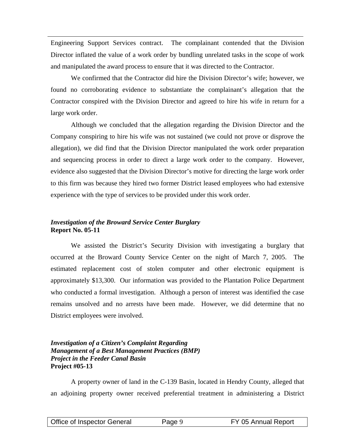Engineering Support Services contract. The complainant contended that the Division Director inflated the value of a work order by bundling unrelated tasks in the scope of work and manipulated the award process to ensure that it was directed to the Contractor.

We confirmed that the Contractor did hire the Division Director's wife; however, we found no corroborating evidence to substantiate the complainant's allegation that the Contractor conspired with the Division Director and agreed to hire his wife in return for a large work order.

Although we concluded that the allegation regarding the Division Director and the Company conspiring to hire his wife was not sustained (we could not prove or disprove the allegation), we did find that the Division Director manipulated the work order preparation and sequencing process in order to direct a large work order to the company. However, evidence also suggested that the Division Director's motive for directing the large work order to this firm was because they hired two former District leased employees who had extensive experience with the type of services to be provided under this work order.

### *Investigation of the Broward Service Center Burglary* **Report No. 05-11**

We assisted the District's Security Division with investigating a burglary that occurred at the Broward County Service Center on the night of March 7, 2005. The estimated replacement cost of stolen computer and other electronic equipment is approximately \$13,300. Our information was provided to the Plantation Police Department who conducted a formal investigation. Although a person of interest was identified the case remains unsolved and no arrests have been made. However, we did determine that no District employees were involved.

#### *Investigation of a Citizen's Complaint Regarding Management of a Best Management Practices (BMP) Project in the Feeder Canal Basin*  **Project #05-13**

A property owner of land in the C-139 Basin, located in Hendry County, alleged that an adjoining property owner received preferential treatment in administering a District

| Office of Inspector General | Page 9 | FY 05 Annual Report |
|-----------------------------|--------|---------------------|
|                             |        |                     |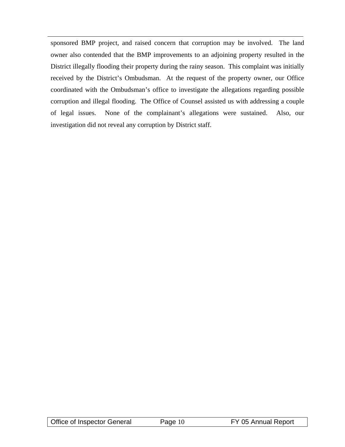sponsored BMP project, and raised concern that corruption may be involved. The land owner also contended that the BMP improvements to an adjoining property resulted in the District illegally flooding their property during the rainy season. This complaint was initially received by the District's Ombudsman. At the request of the property owner, our Office coordinated with the Ombudsman's office to investigate the allegations regarding possible corruption and illegal flooding. The Office of Counsel assisted us with addressing a couple of legal issues. None of the complainant's allegations were sustained. Also, our investigation did not reveal any corruption by District staff.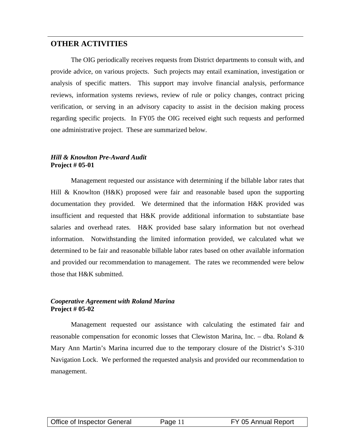# **OTHER ACTIVITIES**

The OIG periodically receives requests from District departments to consult with, and provide advice, on various projects. Such projects may entail examination, investigation or analysis of specific matters. This support may involve financial analysis, performance reviews, information systems reviews, review of rule or policy changes, contract pricing verification, or serving in an advisory capacity to assist in the decision making process regarding specific projects. In FY05 the OIG received eight such requests and performed one administrative project. These are summarized below.

#### *Hill & Knowlton Pre-Award Audit*  **Project # 05-01**

Management requested our assistance with determining if the billable labor rates that Hill & Knowlton (H&K) proposed were fair and reasonable based upon the supporting documentation they provided. We determined that the information H&K provided was insufficient and requested that H&K provide additional information to substantiate base salaries and overhead rates. H&K provided base salary information but not overhead information. Notwithstanding the limited information provided, we calculated what we determined to be fair and reasonable billable labor rates based on other available information and provided our recommendation to management. The rates we recommended were below those that H&K submitted.

#### *Cooperative Agreement with Roland Marina* **Project # 05-02**

Management requested our assistance with calculating the estimated fair and reasonable compensation for economic losses that Clewiston Marina, Inc. – dba. Roland  $\&$ Mary Ann Martin's Marina incurred due to the temporary closure of the District's S-310 Navigation Lock. We performed the requested analysis and provided our recommendation to management.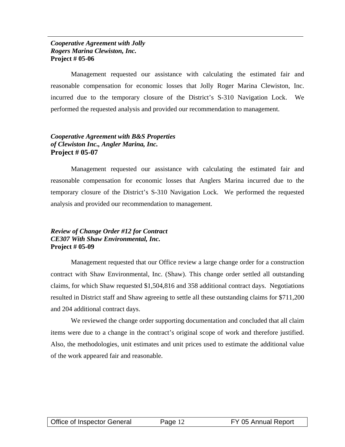#### *Cooperative Agreement with Jolly Rogers Marina Clewiston, Inc.* **Project # 05-06**

Management requested our assistance with calculating the estimated fair and reasonable compensation for economic losses that Jolly Roger Marina Clewiston, Inc. incurred due to the temporary closure of the District's S-310 Navigation Lock. We performed the requested analysis and provided our recommendation to management.

#### *Cooperative Agreement with B&S Properties of Clewiston Inc., Angler Marina, Inc.*  **Project # 05-07**

Management requested our assistance with calculating the estimated fair and reasonable compensation for economic losses that Anglers Marina incurred due to the temporary closure of the District's S-310 Navigation Lock. We performed the requested analysis and provided our recommendation to management.

#### *Review of Change Order #12 for Contract CE307 With Shaw Environmental, Inc.*  **Project # 05-09**

Management requested that our Office review a large change order for a construction contract with Shaw Environmental, Inc. (Shaw). This change order settled all outstanding claims, for which Shaw requested \$1,504,816 and 358 additional contract days. Negotiations resulted in District staff and Shaw agreeing to settle all these outstanding claims for \$711,200 and 204 additional contract days.

We reviewed the change order supporting documentation and concluded that all claim items were due to a change in the contract's original scope of work and therefore justified. Also, the methodologies, unit estimates and unit prices used to estimate the additional value of the work appeared fair and reasonable.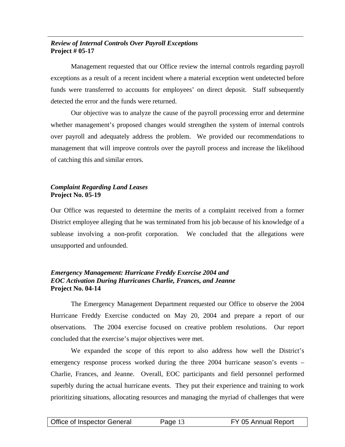#### *Review of Internal Controls Over Payroll Exceptions*  **Project # 05-17**

Management requested that our Office review the internal controls regarding payroll exceptions as a result of a recent incident where a material exception went undetected before funds were transferred to accounts for employees' on direct deposit. Staff subsequently detected the error and the funds were returned.

Our objective was to analyze the cause of the payroll processing error and determine whether management's proposed changes would strengthen the system of internal controls over payroll and adequately address the problem. We provided our recommendations to management that will improve controls over the payroll process and increase the likelihood of catching this and similar errors.

# *Complaint Regarding Land Leases* **Project No. 05-19**

Our Office was requested to determine the merits of a complaint received from a former District employee alleging that he was terminated from his job because of his knowledge of a sublease involving a non-profit corporation. We concluded that the allegations were unsupported and unfounded.

#### *Emergency Management: Hurricane Freddy Exercise 2004 and EOC Activation During Hurricanes Charlie, Frances, and Jeanne*  **Project No. 04-14**

The Emergency Management Department requested our Office to observe the 2004 Hurricane Freddy Exercise conducted on May 20, 2004 and prepare a report of our observations. The 2004 exercise focused on creative problem resolutions. Our report concluded that the exercise's major objectives were met.

We expanded the scope of this report to also address how well the District's emergency response process worked during the three 2004 hurricane season's events – Charlie, Frances, and Jeanne. Overall, EOC participants and field personnel performed superbly during the actual hurricane events. They put their experience and training to work prioritizing situations, allocating resources and managing the myriad of challenges that were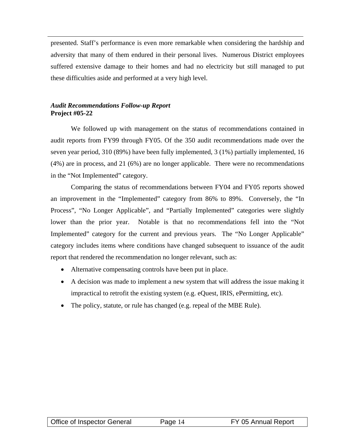presented. Staff's performance is even more remarkable when considering the hardship and adversity that many of them endured in their personal lives. Numerous District employees suffered extensive damage to their homes and had no electricity but still managed to put these difficulties aside and performed at a very high level.

#### *Audit Recommendations Follow-up Report* **Project #05-22**

We followed up with management on the status of recommendations contained in audit reports from FY99 through FY05. Of the 350 audit recommendations made over the seven year period, 310 (89%) have been fully implemented, 3 (1%) partially implemented, 16 (4%) are in process, and 21 (6%) are no longer applicable. There were no recommendations in the "Not Implemented" category.

Comparing the status of recommendations between FY04 and FY05 reports showed an improvement in the "Implemented" category from 86% to 89%. Conversely, the "In Process", "No Longer Applicable", and "Partially Implemented" categories were slightly lower than the prior year. Notable is that no recommendations fell into the "Not Implemented" category for the current and previous years. The "No Longer Applicable" category includes items where conditions have changed subsequent to issuance of the audit report that rendered the recommendation no longer relevant, such as:

- Alternative compensating controls have been put in place.
- A decision was made to implement a new system that will address the issue making it impractical to retrofit the existing system (e.g. eQuest, IRIS, ePermitting, etc).
- The policy, statute, or rule has changed (e.g. repeal of the MBE Rule).